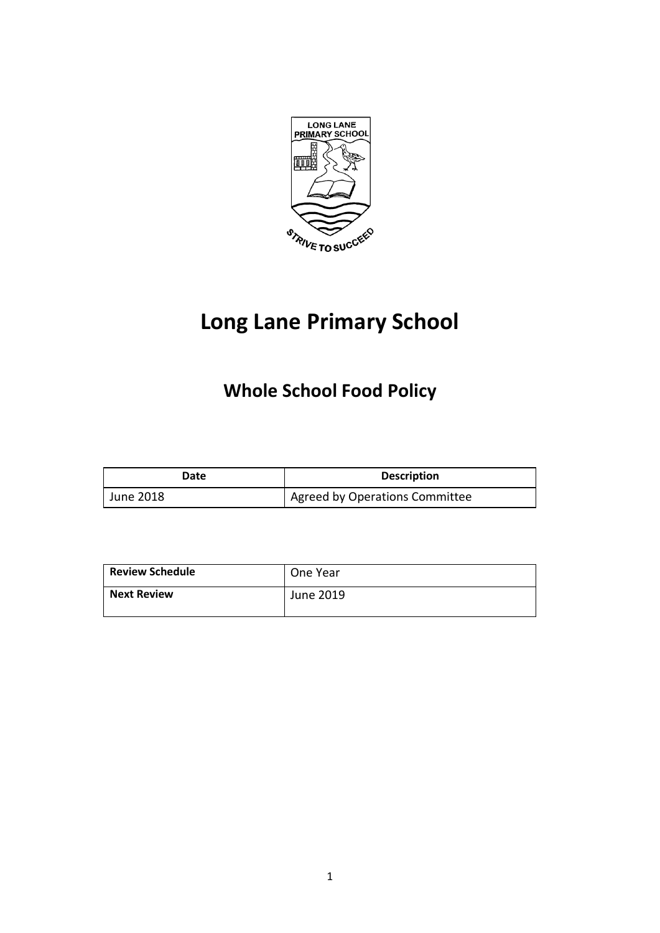

# **Long Lane Primary School**

## **Whole School Food Policy**

| Date      | <b>Description</b>             |
|-----------|--------------------------------|
| June 2018 | Agreed by Operations Committee |

| <b>Review Schedule</b> | One Year  |
|------------------------|-----------|
| <b>Next Review</b>     | June 2019 |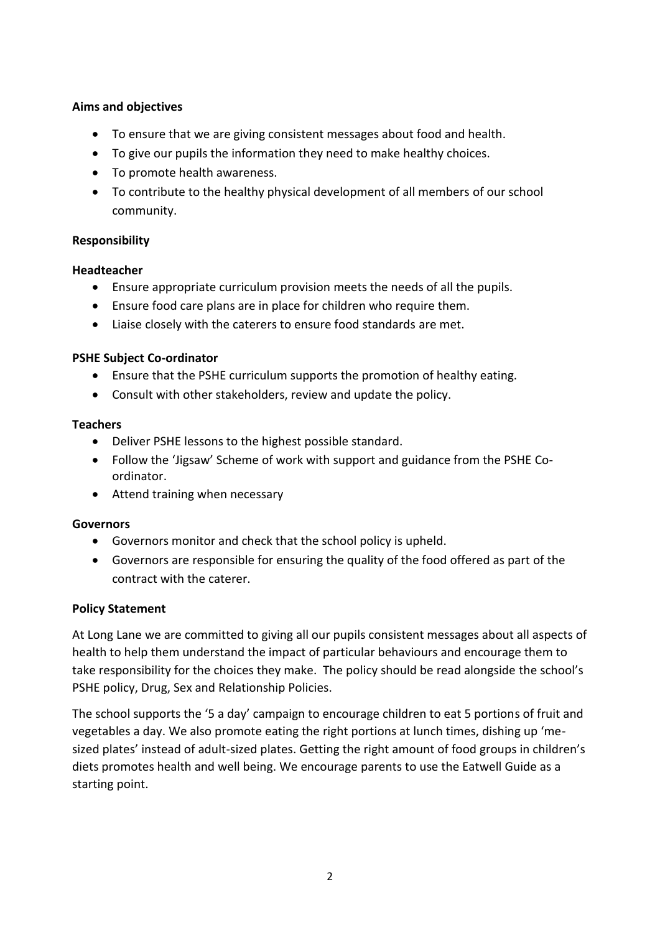### **Aims and objectives**

- To ensure that we are giving consistent messages about food and health.
- To give our pupils the information they need to make healthy choices.
- To promote health awareness.
- To contribute to the healthy physical development of all members of our school community.

### **Responsibility**

### **Headteacher**

- Ensure appropriate curriculum provision meets the needs of all the pupils.
- Ensure food care plans are in place for children who require them.
- Liaise closely with the caterers to ensure food standards are met.

### **PSHE Subject Co-ordinator**

- Ensure that the PSHE curriculum supports the promotion of healthy eating.
- Consult with other stakeholders, review and update the policy.

### **Teachers**

- Deliver PSHE lessons to the highest possible standard.
- Follow the 'Jigsaw' Scheme of work with support and guidance from the PSHE Coordinator.
- Attend training when necessary

### **Governors**

- Governors monitor and check that the school policy is upheld.
- Governors are responsible for ensuring the quality of the food offered as part of the contract with the caterer.

### **Policy Statement**

At Long Lane we are committed to giving all our pupils consistent messages about all aspects of health to help them understand the impact of particular behaviours and encourage them to take responsibility for the choices they make. The policy should be read alongside the school's PSHE policy, Drug, Sex and Relationship Policies.

The school supports the '5 a day' campaign to encourage children to eat 5 portions of fruit and vegetables a day. We also promote eating the right portions at lunch times, dishing up 'mesized plates' instead of adult-sized plates. Getting the right amount of food groups in children's diets promotes health and well being. We encourage parents to use the Eatwell Guide as a starting point.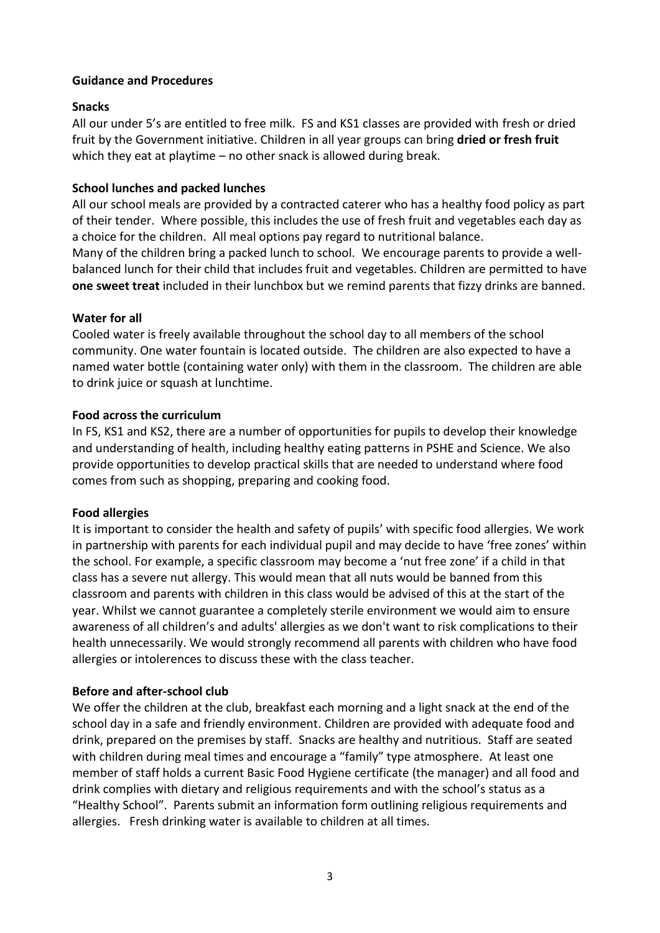#### **Guidance and Procedures**

#### **Snacks**

All our under 5's are entitled to free milk. FS and KS1 classes are provided with fresh or dried fruit by the Government initiative. Children in all year groups can bring **dried or fresh fruit** which they eat at playtime – no other snack is allowed during break.

#### **School lunches and packed lunches**

All our school meals are provided by a contracted caterer who has a healthy food policy as part of their tender. Where possible, this includes the use of fresh fruit and vegetables each day as a choice for the children. All meal options pay regard to nutritional balance. Many of the children bring a packed lunch to school. We encourage parents to provide a wellbalanced lunch for their child that includes fruit and vegetables. Children are permitted to have **one sweet treat** included in their lunchbox but we remind parents that fizzy drinks are banned.

#### **Water for all**

Cooled water is freely available throughout the school day to all members of the school community. One water fountain is located outside. The children are also expected to have a named water bottle (containing water only) with them in the classroom. The children are able to drink juice or squash at lunchtime.

#### **Food across the curriculum**

In FS, KS1 and KS2, there are a number of opportunities for pupils to develop their knowledge and understanding of health, including healthy eating patterns in PSHE and Science. We also provide opportunities to develop practical skills that are needed to understand where food comes from such as shopping, preparing and cooking food.

### **Food allergies**

It is important to consider the health and safety of pupils' with specific food allergies. We work in partnership with parents for each individual pupil and may decide to have 'free zones' within the school. For example, a specific classroom may become a 'nut free zone' if a child in that class has a severe nut allergy. This would mean that all nuts would be banned from this classroom and parents with children in this class would be advised of this at the start of the year. Whilst we cannot guarantee a completely sterile environment we would aim to ensure awareness of all children's and adults' allergies as we don't want to risk complications to their health unnecessarily. We would strongly recommend all parents with children who have food allergies or intolerences to discuss these with the class teacher.

### **Before and after-school club**

We offer the children at the club, breakfast each morning and a light snack at the end of the school day in a safe and friendly environment. Children are provided with adequate food and drink, prepared on the premises by staff. Snacks are healthy and nutritious. Staff are seated with children during meal times and encourage a "family" type atmosphere. At least one member of staff holds a current Basic Food Hygiene certificate (the manager) and all food and drink complies with dietary and religious requirements and with the school's status as a "Healthy School". Parents submit an information form outlining religious requirements and allergies. Fresh drinking water is available to children at all times.